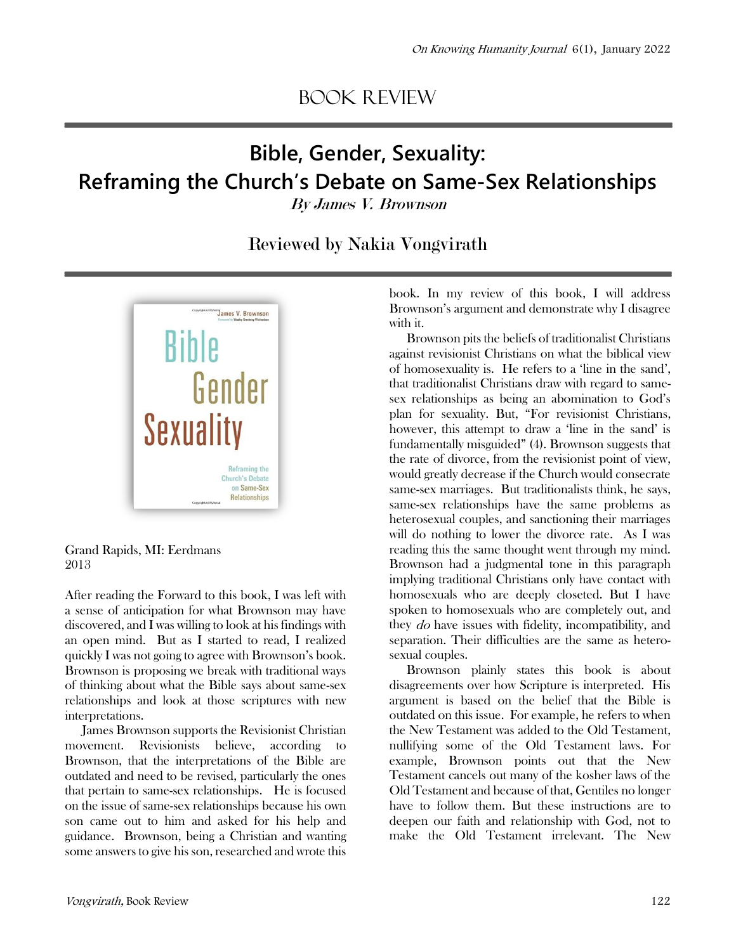## Book Review

## **Bible, Gender, Sexuality: Reframing the Church's Debate on Same-Sex Relationships**

By James V. Brownson

Reviewed by Nakia Vongvirath



Grand Rapids, MI: Eerdmans 2013

After reading the Forward to this book, I was left with a sense of anticipation for what Brownson may have discovered, and I was willing to look at his findings with an open mind. But as I started to read, I realized quickly I was not going to agree with Brownson's book. Brownson is proposing we break with traditional ways of thinking about what the Bible says about same-sex relationships and look at those scriptures with new interpretations.

James Brownson supports the Revisionist Christian movement. Revisionists believe, according to Brownson, that the interpretations of the Bible are outdated and need to be revised, particularly the ones that pertain to same-sex relationships. He is focused on the issue of same-sex relationships because his own son came out to him and asked for his help and guidance. Brownson, being a Christian and wanting some answers to give his son, researched and wrote this book. In my review of this book, I will address Brownson's argument and demonstrate why I disagree with it.

Brownson pits the beliefs of traditionalist Christians against revisionist Christians on what the biblical view of homosexuality is. He refers to a 'line in the sand', that traditionalist Christians draw with regard to samesex relationships as being an abomination to God's plan for sexuality. But, "For revisionist Christians, however, this attempt to draw a 'line in the sand' is fundamentally misguided" (4). Brownson suggests that the rate of divorce, from the revisionist point of view, would greatly decrease if the Church would consecrate same-sex marriages. But traditionalists think, he says, same-sex relationships have the same problems as heterosexual couples, and sanctioning their marriages will do nothing to lower the divorce rate. As I was reading this the same thought went through my mind. Brownson had a judgmental tone in this paragraph implying traditional Christians only have contact with homosexuals who are deeply closeted. But I have spoken to homosexuals who are completely out, and they do have issues with fidelity, incompatibility, and separation. Their difficulties are the same as heterosexual couples.

Brownson plainly states this book is about disagreements over how Scripture is interpreted. His argument is based on the belief that the Bible is outdated on this issue. For example, he refers to when the New Testament was added to the Old Testament, nullifying some of the Old Testament laws. For example, Brownson points out that the New Testament cancels out many of the kosher laws of the Old Testament and because of that, Gentiles no longer have to follow them. But these instructions are to deepen our faith and relationship with God, not to make the Old Testament irrelevant. The New